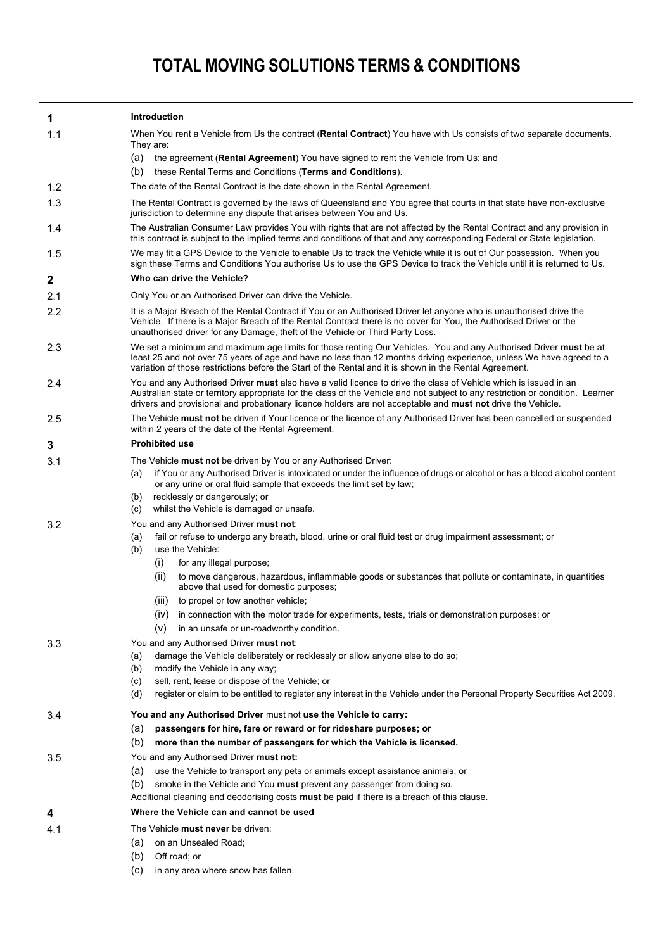## **TOTAL MOVING SOLUTIONS TERMS & CONDITIONS**

| 1   | <b>Introduction</b>                                                                                                                                                                                                                                                                                                                                                                                                                                                                                                                                                                            |  |  |  |  |  |
|-----|------------------------------------------------------------------------------------------------------------------------------------------------------------------------------------------------------------------------------------------------------------------------------------------------------------------------------------------------------------------------------------------------------------------------------------------------------------------------------------------------------------------------------------------------------------------------------------------------|--|--|--|--|--|
| 1.1 | When You rent a Vehicle from Us the contract (Rental Contract) You have with Us consists of two separate documents.<br>They are:                                                                                                                                                                                                                                                                                                                                                                                                                                                               |  |  |  |  |  |
|     | (a) the agreement (Rental Agreement) You have signed to rent the Vehicle from Us; and                                                                                                                                                                                                                                                                                                                                                                                                                                                                                                          |  |  |  |  |  |
| 1.2 | (b)<br>these Rental Terms and Conditions (Terms and Conditions).                                                                                                                                                                                                                                                                                                                                                                                                                                                                                                                               |  |  |  |  |  |
| 1.3 | The date of the Rental Contract is the date shown in the Rental Agreement.                                                                                                                                                                                                                                                                                                                                                                                                                                                                                                                     |  |  |  |  |  |
|     | The Rental Contract is governed by the laws of Queensland and You agree that courts in that state have non-exclusive<br>jurisdiction to determine any dispute that arises between You and Us.                                                                                                                                                                                                                                                                                                                                                                                                  |  |  |  |  |  |
| 1.4 | The Australian Consumer Law provides You with rights that are not affected by the Rental Contract and any provision in<br>this contract is subject to the implied terms and conditions of that and any corresponding Federal or State legislation.                                                                                                                                                                                                                                                                                                                                             |  |  |  |  |  |
| 1.5 | We may fit a GPS Device to the Vehicle to enable Us to track the Vehicle while it is out of Our possession. When you<br>sign these Terms and Conditions You authorise Us to use the GPS Device to track the Vehicle until it is returned to Us.                                                                                                                                                                                                                                                                                                                                                |  |  |  |  |  |
| 2   | Who can drive the Vehicle?                                                                                                                                                                                                                                                                                                                                                                                                                                                                                                                                                                     |  |  |  |  |  |
| 2.1 | Only You or an Authorised Driver can drive the Vehicle.                                                                                                                                                                                                                                                                                                                                                                                                                                                                                                                                        |  |  |  |  |  |
| 2.2 | It is a Major Breach of the Rental Contract if You or an Authorised Driver let anyone who is unauthorised drive the<br>Vehicle. If there is a Major Breach of the Rental Contract there is no cover for You, the Authorised Driver or the<br>unauthorised driver for any Damage, theft of the Vehicle or Third Party Loss.                                                                                                                                                                                                                                                                     |  |  |  |  |  |
| 2.3 | We set a minimum and maximum age limits for those renting Our Vehicles. You and any Authorised Driver <b>must</b> be at<br>least 25 and not over 75 years of age and have no less than 12 months driving experience, unless We have agreed to a<br>variation of those restrictions before the Start of the Rental and it is shown in the Rental Agreement.                                                                                                                                                                                                                                     |  |  |  |  |  |
| 2.4 | You and any Authorised Driver <b>must</b> also have a valid licence to drive the class of Vehicle which is issued in an<br>Australian state or territory appropriate for the class of the Vehicle and not subject to any restriction or condition. Learner<br>drivers and provisional and probationary licence holders are not acceptable and <b>must not</b> drive the Vehicle.                                                                                                                                                                                                               |  |  |  |  |  |
| 2.5 | The Vehicle <b>must not</b> be driven if Your licence or the licence of any Authorised Driver has been cancelled or suspended<br>within 2 years of the date of the Rental Agreement.                                                                                                                                                                                                                                                                                                                                                                                                           |  |  |  |  |  |
| 3   | <b>Prohibited use</b>                                                                                                                                                                                                                                                                                                                                                                                                                                                                                                                                                                          |  |  |  |  |  |
| 3.1 | The Vehicle must not be driven by You or any Authorised Driver:<br>if You or any Authorised Driver is intoxicated or under the influence of drugs or alcohol or has a blood alcohol content<br>(a)<br>or any urine or oral fluid sample that exceeds the limit set by law;<br>recklessly or dangerously; or<br>(b)<br>whilst the Vehicle is damaged or unsafe.<br>(c)                                                                                                                                                                                                                          |  |  |  |  |  |
| 3.2 | You and any Authorised Driver must not:<br>fail or refuse to undergo any breath, blood, urine or oral fluid test or drug impairment assessment; or<br>(a)<br>(b)<br>use the Vehicle:<br>(i)<br>for any illegal purpose;<br>(ii)<br>to move dangerous, hazardous, inflammable goods or substances that pollute or contaminate, in quantities<br>above that used for domestic purposes;<br>to propel or tow another vehicle;<br>(III)<br>(iv) in connection with the motor trade for experiments, tests, trials or demonstration purposes; or<br>(v)<br>in an unsafe or un-roadworthy condition. |  |  |  |  |  |
| 3.3 | You and any Authorised Driver must not:<br>damage the Vehicle deliberately or recklessly or allow anyone else to do so;<br>(a)<br>(b)<br>modify the Vehicle in any way;<br>(c)<br>sell, rent, lease or dispose of the Vehicle; or<br>(d)<br>register or claim to be entitled to register any interest in the Vehicle under the Personal Property Securities Act 2009.                                                                                                                                                                                                                          |  |  |  |  |  |
| 3.4 | You and any Authorised Driver must not use the Vehicle to carry:<br>(a)<br>passengers for hire, fare or reward or for rideshare purposes; or<br>(b)<br>more than the number of passengers for which the Vehicle is licensed.                                                                                                                                                                                                                                                                                                                                                                   |  |  |  |  |  |
| 3.5 | You and any Authorised Driver must not:<br>(a)<br>use the Vehicle to transport any pets or animals except assistance animals; or<br>(b)<br>smoke in the Vehicle and You must prevent any passenger from doing so.<br>Additional cleaning and deodorising costs must be paid if there is a breach of this clause.                                                                                                                                                                                                                                                                               |  |  |  |  |  |
| 4   | Where the Vehicle can and cannot be used                                                                                                                                                                                                                                                                                                                                                                                                                                                                                                                                                       |  |  |  |  |  |
| 4.1 | The Vehicle must never be driven:<br>on an Unsealed Road;<br>(a)<br>(b)<br>Off road; or                                                                                                                                                                                                                                                                                                                                                                                                                                                                                                        |  |  |  |  |  |

(c) in any area where snow has fallen.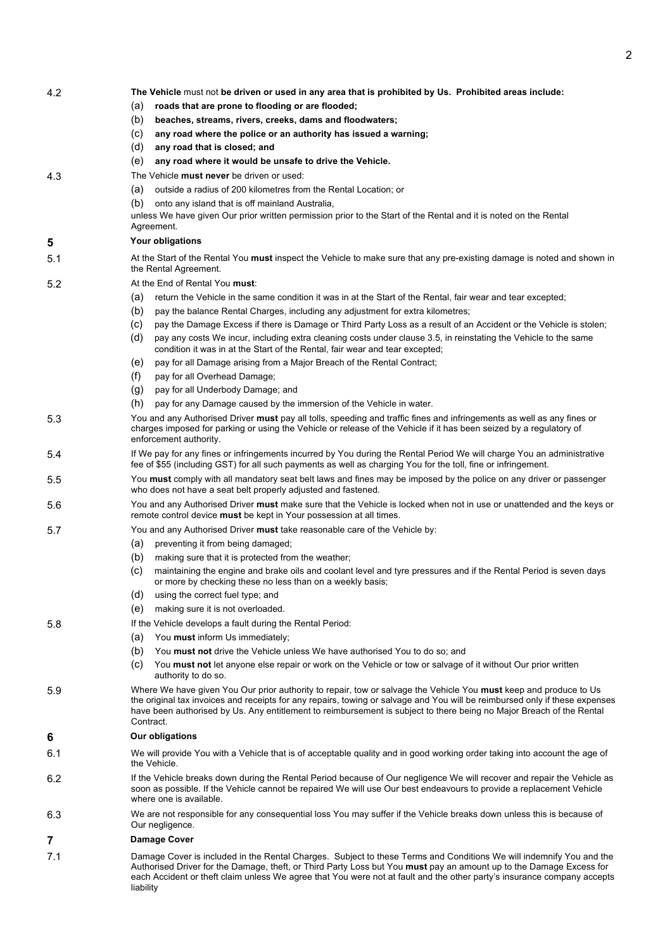| 4.2 | The Vehicle must not be driven or used in any area that is prohibited by Us. Prohibited areas include:                                                                                                                                                                                                                                                                                |  |  |  |  |  |  |
|-----|---------------------------------------------------------------------------------------------------------------------------------------------------------------------------------------------------------------------------------------------------------------------------------------------------------------------------------------------------------------------------------------|--|--|--|--|--|--|
|     | roads that are prone to flooding or are flooded;<br>(a)                                                                                                                                                                                                                                                                                                                               |  |  |  |  |  |  |
|     | (b)<br>beaches, streams, rivers, creeks, dams and floodwaters;                                                                                                                                                                                                                                                                                                                        |  |  |  |  |  |  |
|     | (c)<br>any road where the police or an authority has issued a warning;                                                                                                                                                                                                                                                                                                                |  |  |  |  |  |  |
|     | (d)<br>any road that is closed; and                                                                                                                                                                                                                                                                                                                                                   |  |  |  |  |  |  |
|     | (e)<br>any road where it would be unsafe to drive the Vehicle.                                                                                                                                                                                                                                                                                                                        |  |  |  |  |  |  |
| 4.3 | The Vehicle must never be driven or used:                                                                                                                                                                                                                                                                                                                                             |  |  |  |  |  |  |
|     | outside a radius of 200 kilometres from the Rental Location; or<br>(a)                                                                                                                                                                                                                                                                                                                |  |  |  |  |  |  |
|     | (b)<br>onto any island that is off mainland Australia,                                                                                                                                                                                                                                                                                                                                |  |  |  |  |  |  |
|     | unless We have given Our prior written permission prior to the Start of the Rental and it is noted on the Rental                                                                                                                                                                                                                                                                      |  |  |  |  |  |  |
|     | Agreement.                                                                                                                                                                                                                                                                                                                                                                            |  |  |  |  |  |  |
| 5   | Your obligations                                                                                                                                                                                                                                                                                                                                                                      |  |  |  |  |  |  |
| 5.1 | At the Start of the Rental You <b>must</b> inspect the Vehicle to make sure that any pre-existing damage is noted and shown in                                                                                                                                                                                                                                                        |  |  |  |  |  |  |
|     | the Rental Agreement.                                                                                                                                                                                                                                                                                                                                                                 |  |  |  |  |  |  |
| 5.2 | At the End of Rental You must:                                                                                                                                                                                                                                                                                                                                                        |  |  |  |  |  |  |
|     | return the Vehicle in the same condition it was in at the Start of the Rental, fair wear and tear excepted;<br>(a)                                                                                                                                                                                                                                                                    |  |  |  |  |  |  |
|     | (b)<br>pay the balance Rental Charges, including any adjustment for extra kilometres;                                                                                                                                                                                                                                                                                                 |  |  |  |  |  |  |
|     | (c)<br>pay the Damage Excess if there is Damage or Third Party Loss as a result of an Accident or the Vehicle is stolen;                                                                                                                                                                                                                                                              |  |  |  |  |  |  |
|     | (d)<br>pay any costs We incur, including extra cleaning costs under clause 3.5, in reinstating the Vehicle to the same<br>condition it was in at the Start of the Rental, fair wear and tear excepted;                                                                                                                                                                                |  |  |  |  |  |  |
|     | pay for all Damage arising from a Major Breach of the Rental Contract;<br>(e)                                                                                                                                                                                                                                                                                                         |  |  |  |  |  |  |
|     | (f)<br>pay for all Overhead Damage;                                                                                                                                                                                                                                                                                                                                                   |  |  |  |  |  |  |
|     | (g)<br>pay for all Underbody Damage; and                                                                                                                                                                                                                                                                                                                                              |  |  |  |  |  |  |
|     | (h)<br>pay for any Damage caused by the immersion of the Vehicle in water.                                                                                                                                                                                                                                                                                                            |  |  |  |  |  |  |
| 5.3 | You and any Authorised Driver must pay all tolls, speeding and traffic fines and infringements as well as any fines or                                                                                                                                                                                                                                                                |  |  |  |  |  |  |
|     | charges imposed for parking or using the Vehicle or release of the Vehicle if it has been seized by a regulatory of<br>enforcement authority.                                                                                                                                                                                                                                         |  |  |  |  |  |  |
| 5.4 | If We pay for any fines or infringements incurred by You during the Rental Period We will charge You an administrative<br>fee of \$55 (including GST) for all such payments as well as charging You for the toll, fine or infringement.                                                                                                                                               |  |  |  |  |  |  |
| 5.5 | You must comply with all mandatory seat belt laws and fines may be imposed by the police on any driver or passenger<br>who does not have a seat belt properly adjusted and fastened.                                                                                                                                                                                                  |  |  |  |  |  |  |
| 5.6 | You and any Authorised Driver must make sure that the Vehicle is locked when not in use or unattended and the keys or<br>remote control device must be kept in Your possession at all times.                                                                                                                                                                                          |  |  |  |  |  |  |
| 5.7 | You and any Authorised Driver must take reasonable care of the Vehicle by:                                                                                                                                                                                                                                                                                                            |  |  |  |  |  |  |
|     | (a)<br>preventing it from being damaged;                                                                                                                                                                                                                                                                                                                                              |  |  |  |  |  |  |
|     | (b)<br>making sure that it is protected from the weather;                                                                                                                                                                                                                                                                                                                             |  |  |  |  |  |  |
|     | (c)<br>maintaining the engine and brake oils and coolant level and tyre pressures and if the Rental Period is seven days<br>or more by checking these no less than on a weekly basis;                                                                                                                                                                                                 |  |  |  |  |  |  |
|     | (d)<br>using the correct fuel type; and                                                                                                                                                                                                                                                                                                                                               |  |  |  |  |  |  |
|     | (e)<br>making sure it is not overloaded.                                                                                                                                                                                                                                                                                                                                              |  |  |  |  |  |  |
| 5.8 | If the Vehicle develops a fault during the Rental Period:                                                                                                                                                                                                                                                                                                                             |  |  |  |  |  |  |
|     | (a)<br>You must inform Us immediately;                                                                                                                                                                                                                                                                                                                                                |  |  |  |  |  |  |
|     | (b)<br>You <b>must not</b> drive the Vehicle unless We have authorised You to do so; and                                                                                                                                                                                                                                                                                              |  |  |  |  |  |  |
|     | (C)<br>You must not let anyone else repair or work on the Vehicle or tow or salvage of it without Our prior written<br>authority to do so.                                                                                                                                                                                                                                            |  |  |  |  |  |  |
| 5.9 | Where We have given You Our prior authority to repair, tow or salvage the Vehicle You must keep and produce to Us<br>the original tax invoices and receipts for any repairs, towing or salvage and You will be reimbursed only if these expenses<br>have been authorised by Us. Any entitlement to reimbursement is subject to there being no Major Breach of the Rental<br>Contract. |  |  |  |  |  |  |
| 6   | <b>Our obligations</b>                                                                                                                                                                                                                                                                                                                                                                |  |  |  |  |  |  |
| 6.1 | We will provide You with a Vehicle that is of acceptable quality and in good working order taking into account the age of<br>the Vehicle.                                                                                                                                                                                                                                             |  |  |  |  |  |  |
| 6.2 | If the Vehicle breaks down during the Rental Period because of Our negligence We will recover and repair the Vehicle as<br>soon as possible. If the Vehicle cannot be repaired We will use Our best endeavours to provide a replacement Vehicle<br>where one is available.                                                                                                            |  |  |  |  |  |  |
| 6.3 | We are not responsible for any consequential loss You may suffer if the Vehicle breaks down unless this is because of<br>Our negligence.                                                                                                                                                                                                                                              |  |  |  |  |  |  |
| 7   | <b>Damage Cover</b>                                                                                                                                                                                                                                                                                                                                                                   |  |  |  |  |  |  |
| 7.1 | Damage Cover is included in the Rental Charges. Subject to these Terms and Conditions We will indemnify You and the                                                                                                                                                                                                                                                                   |  |  |  |  |  |  |
|     | Authorised Driver for the Damage, theft, or Third Party Loss but You must pay an amount up to the Damage Excess for<br>each Accident or theft claim unless We agree that You were not at fault and the other party's insurance company accepts<br>liability                                                                                                                           |  |  |  |  |  |  |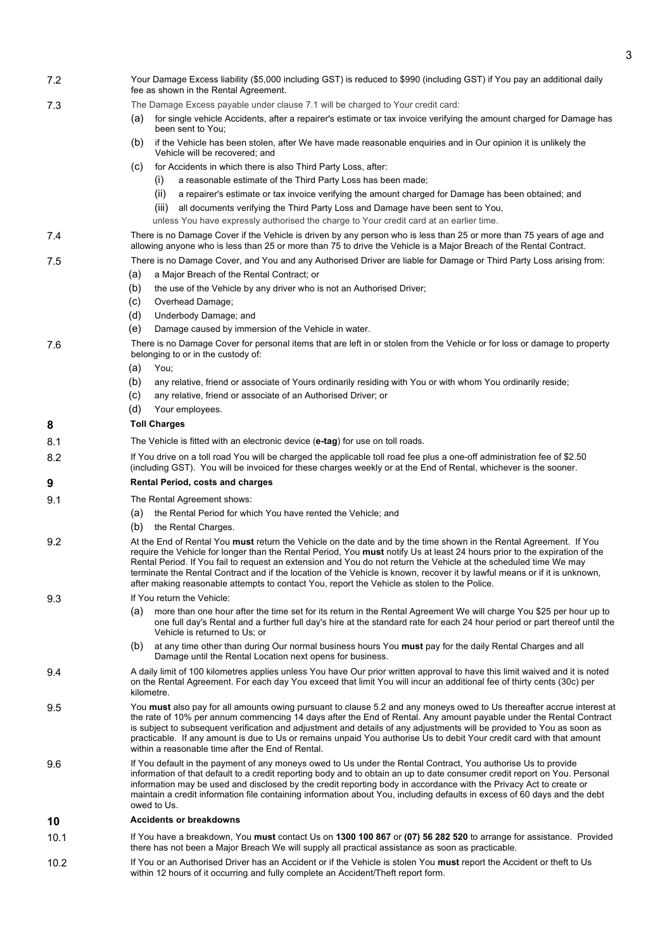| 7.2  | Your Damage Excess liability (\$5,000 including GST) is reduced to \$990 (including GST) if You pay an additional daily<br>fee as shown in the Rental Agreement.                                                                                                                                                                                                                                                                                                                                              |  |  |  |  |  |
|------|---------------------------------------------------------------------------------------------------------------------------------------------------------------------------------------------------------------------------------------------------------------------------------------------------------------------------------------------------------------------------------------------------------------------------------------------------------------------------------------------------------------|--|--|--|--|--|
| 7.3  | The Damage Excess payable under clause 7.1 will be charged to Your credit card:                                                                                                                                                                                                                                                                                                                                                                                                                               |  |  |  |  |  |
|      | for single vehicle Accidents, after a repairer's estimate or tax invoice verifying the amount charged for Damage has<br>(a)<br>been sent to You:                                                                                                                                                                                                                                                                                                                                                              |  |  |  |  |  |
|      | (b)<br>if the Vehicle has been stolen, after We have made reasonable enguiries and in Our opinion it is unlikely the<br>Vehicle will be recovered; and                                                                                                                                                                                                                                                                                                                                                        |  |  |  |  |  |
|      | (C)<br>for Accidents in which there is also Third Party Loss, after:                                                                                                                                                                                                                                                                                                                                                                                                                                          |  |  |  |  |  |
|      | a reasonable estimate of the Third Party Loss has been made;<br>(1)                                                                                                                                                                                                                                                                                                                                                                                                                                           |  |  |  |  |  |
|      | (ii)<br>a repairer's estimate or tax invoice verifying the amount charged for Damage has been obtained; and                                                                                                                                                                                                                                                                                                                                                                                                   |  |  |  |  |  |
|      | all documents verifying the Third Party Loss and Damage have been sent to You,<br>(III)                                                                                                                                                                                                                                                                                                                                                                                                                       |  |  |  |  |  |
|      | unless You have expressly authorised the charge to Your credit card at an earlier time.                                                                                                                                                                                                                                                                                                                                                                                                                       |  |  |  |  |  |
| 7.4  | There is no Damage Cover if the Vehicle is driven by any person who is less than 25 or more than 75 years of age and<br>allowing anyone who is less than 25 or more than 75 to drive the Vehicle is a Major Breach of the Rental Contract.                                                                                                                                                                                                                                                                    |  |  |  |  |  |
| 7.5  | There is no Damage Cover, and You and any Authorised Driver are liable for Damage or Third Party Loss arising from:                                                                                                                                                                                                                                                                                                                                                                                           |  |  |  |  |  |
|      | a Major Breach of the Rental Contract; or<br>(a)                                                                                                                                                                                                                                                                                                                                                                                                                                                              |  |  |  |  |  |
|      | (b)<br>the use of the Vehicle by any driver who is not an Authorised Driver;                                                                                                                                                                                                                                                                                                                                                                                                                                  |  |  |  |  |  |
|      | (c)<br>Overhead Damage;                                                                                                                                                                                                                                                                                                                                                                                                                                                                                       |  |  |  |  |  |
|      | (d)<br>Underbody Damage; and<br>(e)<br>Damage caused by immersion of the Vehicle in water.                                                                                                                                                                                                                                                                                                                                                                                                                    |  |  |  |  |  |
|      |                                                                                                                                                                                                                                                                                                                                                                                                                                                                                                               |  |  |  |  |  |
| 7.6  | There is no Damage Cover for personal items that are left in or stolen from the Vehicle or for loss or damage to property<br>belonging to or in the custody of:<br>(a)<br>You;                                                                                                                                                                                                                                                                                                                                |  |  |  |  |  |
|      | (b)<br>any relative, friend or associate of Yours ordinarily residing with You or with whom You ordinarily reside;                                                                                                                                                                                                                                                                                                                                                                                            |  |  |  |  |  |
|      | (c)<br>any relative, friend or associate of an Authorised Driver; or                                                                                                                                                                                                                                                                                                                                                                                                                                          |  |  |  |  |  |
|      | (d)<br>Your employees.                                                                                                                                                                                                                                                                                                                                                                                                                                                                                        |  |  |  |  |  |
| 8    | <b>Toll Charges</b>                                                                                                                                                                                                                                                                                                                                                                                                                                                                                           |  |  |  |  |  |
| 8.1  | The Vehicle is fitted with an electronic device (e-tag) for use on toll roads.                                                                                                                                                                                                                                                                                                                                                                                                                                |  |  |  |  |  |
| 8.2  | If You drive on a toll road You will be charged the applicable toll road fee plus a one-off administration fee of \$2.50<br>(including GST). You will be invoiced for these charges weekly or at the End of Rental, whichever is the sooner.                                                                                                                                                                                                                                                                  |  |  |  |  |  |
| 9    | <b>Rental Period, costs and charges</b>                                                                                                                                                                                                                                                                                                                                                                                                                                                                       |  |  |  |  |  |
| 9.1  | The Rental Agreement shows:                                                                                                                                                                                                                                                                                                                                                                                                                                                                                   |  |  |  |  |  |
|      | the Rental Period for which You have rented the Vehicle; and<br>(a)                                                                                                                                                                                                                                                                                                                                                                                                                                           |  |  |  |  |  |
|      | (b)<br>the Rental Charges.                                                                                                                                                                                                                                                                                                                                                                                                                                                                                    |  |  |  |  |  |
| 9.2  | At the End of Rental You must return the Vehicle on the date and by the time shown in the Rental Agreement. If You                                                                                                                                                                                                                                                                                                                                                                                            |  |  |  |  |  |
|      | require the Vehicle for longer than the Rental Period, You must notify Us at least 24 hours prior to the expiration of the<br>Rental Period. If You fail to request an extension and You do not return the Vehicle at the scheduled time We may<br>terminate the Rental Contract and if the location of the Vehicle is known, recover it by lawful means or if it is unknown,                                                                                                                                 |  |  |  |  |  |
|      | after making reasonable attempts to contact You, report the Vehicle as stolen to the Police.                                                                                                                                                                                                                                                                                                                                                                                                                  |  |  |  |  |  |
| 9.3  | If You return the Vehicle:                                                                                                                                                                                                                                                                                                                                                                                                                                                                                    |  |  |  |  |  |
|      | more than one hour after the time set for its return in the Rental Agreement We will charge You \$25 per hour up to<br>(a)<br>one full day's Rental and a further full day's hire at the standard rate for each 24 hour period or part thereof until the<br>Vehicle is returned to Us; or                                                                                                                                                                                                                     |  |  |  |  |  |
|      | (b)<br>at any time other than during Our normal business hours You must pay for the daily Rental Charges and all<br>Damage until the Rental Location next opens for business.                                                                                                                                                                                                                                                                                                                                 |  |  |  |  |  |
| 9.4  | A daily limit of 100 kilometres applies unless You have Our prior written approval to have this limit waived and it is noted<br>on the Rental Agreement. For each day You exceed that limit You will incur an additional fee of thirty cents (30c) per<br>kilometre.                                                                                                                                                                                                                                          |  |  |  |  |  |
| 9.5  | You must also pay for all amounts owing pursuant to clause 5.2 and any moneys owed to Us thereafter accrue interest at                                                                                                                                                                                                                                                                                                                                                                                        |  |  |  |  |  |
|      | the rate of 10% per annum commencing 14 days after the End of Rental. Any amount payable under the Rental Contract<br>is subject to subsequent verification and adjustment and details of any adjustments will be provided to You as soon as<br>practicable. If any amount is due to Us or remains unpaid You authorise Us to debit Your credit card with that amount<br>within a reasonable time after the End of Rental.                                                                                    |  |  |  |  |  |
| 9.6  | If You default in the payment of any moneys owed to Us under the Rental Contract, You authorise Us to provide<br>information of that default to a credit reporting body and to obtain an up to date consumer credit report on You. Personal<br>information may be used and disclosed by the credit reporting body in accordance with the Privacy Act to create or<br>maintain a credit information file containing information about You, including defaults in excess of 60 days and the debt<br>owed to Us. |  |  |  |  |  |
| 10   | <b>Accidents or breakdowns</b>                                                                                                                                                                                                                                                                                                                                                                                                                                                                                |  |  |  |  |  |
| 10.1 | If You have a breakdown, You must contact Us on 1300 100 867 or (07) 56 282 520 to arrange for assistance. Provided<br>there has not been a Major Breach We will supply all practical assistance as soon as practicable.                                                                                                                                                                                                                                                                                      |  |  |  |  |  |
| 10.2 | If You or an Authorised Driver has an Accident or if the Vehicle is stolen You must report the Accident or theft to Us<br>within 12 hours of it occurring and fully complete an Accident/Theft report form.                                                                                                                                                                                                                                                                                                   |  |  |  |  |  |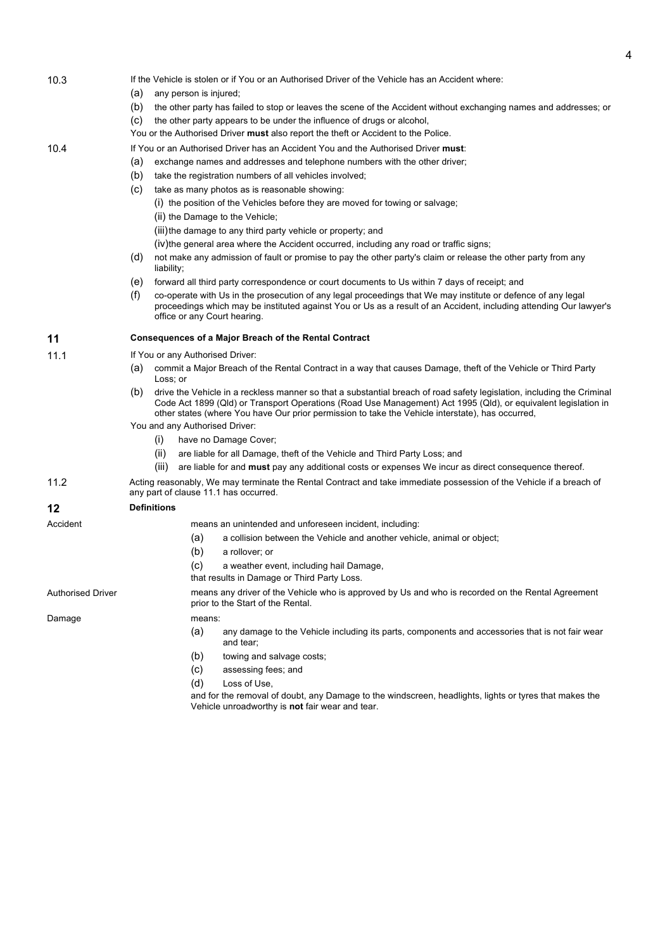| 10.3                     | If the Vehicle is stolen or if You or an Authorised Driver of the Vehicle has an Accident where:<br>(a)<br>any person is injured; |                                                                                                                                                                                                                                                                    |                                                                                                                                                                                                                                                                                                                                              |                                                                                                                   |  |  |  |  |  |
|--------------------------|-----------------------------------------------------------------------------------------------------------------------------------|--------------------------------------------------------------------------------------------------------------------------------------------------------------------------------------------------------------------------------------------------------------------|----------------------------------------------------------------------------------------------------------------------------------------------------------------------------------------------------------------------------------------------------------------------------------------------------------------------------------------------|-------------------------------------------------------------------------------------------------------------------|--|--|--|--|--|
|                          | (b)                                                                                                                               |                                                                                                                                                                                                                                                                    |                                                                                                                                                                                                                                                                                                                                              | the other party has failed to stop or leaves the scene of the Accident without exchanging names and addresses; or |  |  |  |  |  |
|                          | (c)                                                                                                                               |                                                                                                                                                                                                                                                                    |                                                                                                                                                                                                                                                                                                                                              | the other party appears to be under the influence of drugs or alcohol,                                            |  |  |  |  |  |
|                          |                                                                                                                                   |                                                                                                                                                                                                                                                                    |                                                                                                                                                                                                                                                                                                                                              | You or the Authorised Driver must also report the theft or Accident to the Police.                                |  |  |  |  |  |
| 10.4                     |                                                                                                                                   | If You or an Authorised Driver has an Accident You and the Authorised Driver must:                                                                                                                                                                                 |                                                                                                                                                                                                                                                                                                                                              |                                                                                                                   |  |  |  |  |  |
|                          | (a)                                                                                                                               | exchange names and addresses and telephone numbers with the other driver;                                                                                                                                                                                          |                                                                                                                                                                                                                                                                                                                                              |                                                                                                                   |  |  |  |  |  |
|                          | (b)                                                                                                                               |                                                                                                                                                                                                                                                                    |                                                                                                                                                                                                                                                                                                                                              | take the registration numbers of all vehicles involved;                                                           |  |  |  |  |  |
|                          | (c)                                                                                                                               |                                                                                                                                                                                                                                                                    |                                                                                                                                                                                                                                                                                                                                              | take as many photos as is reasonable showing:                                                                     |  |  |  |  |  |
|                          |                                                                                                                                   |                                                                                                                                                                                                                                                                    |                                                                                                                                                                                                                                                                                                                                              | (i) the position of the Vehicles before they are moved for towing or salvage;                                     |  |  |  |  |  |
|                          |                                                                                                                                   |                                                                                                                                                                                                                                                                    |                                                                                                                                                                                                                                                                                                                                              | (ii) the Damage to the Vehicle;                                                                                   |  |  |  |  |  |
|                          |                                                                                                                                   |                                                                                                                                                                                                                                                                    |                                                                                                                                                                                                                                                                                                                                              | (iii) the damage to any third party vehicle or property; and                                                      |  |  |  |  |  |
|                          |                                                                                                                                   |                                                                                                                                                                                                                                                                    |                                                                                                                                                                                                                                                                                                                                              | (iv)the general area where the Accident occurred, including any road or traffic signs;                            |  |  |  |  |  |
|                          | (d)                                                                                                                               | liability;                                                                                                                                                                                                                                                         |                                                                                                                                                                                                                                                                                                                                              | not make any admission of fault or promise to pay the other party's claim or release the other party from any     |  |  |  |  |  |
|                          | (e)                                                                                                                               |                                                                                                                                                                                                                                                                    |                                                                                                                                                                                                                                                                                                                                              | forward all third party correspondence or court documents to Us within 7 days of receipt; and                     |  |  |  |  |  |
|                          | (f)                                                                                                                               | co-operate with Us in the prosecution of any legal proceedings that We may institute or defence of any legal<br>proceedings which may be instituted against You or Us as a result of an Accident, including attending Our lawyer's<br>office or any Court hearing. |                                                                                                                                                                                                                                                                                                                                              |                                                                                                                   |  |  |  |  |  |
| 11                       |                                                                                                                                   | Consequences of a Major Breach of the Rental Contract                                                                                                                                                                                                              |                                                                                                                                                                                                                                                                                                                                              |                                                                                                                   |  |  |  |  |  |
| 11.1                     |                                                                                                                                   |                                                                                                                                                                                                                                                                    | If You or any Authorised Driver:                                                                                                                                                                                                                                                                                                             |                                                                                                                   |  |  |  |  |  |
|                          | (a)                                                                                                                               | commit a Major Breach of the Rental Contract in a way that causes Damage, theft of the Vehicle or Third Party<br>Loss; or                                                                                                                                          |                                                                                                                                                                                                                                                                                                                                              |                                                                                                                   |  |  |  |  |  |
|                          | (b)                                                                                                                               |                                                                                                                                                                                                                                                                    | drive the Vehicle in a reckless manner so that a substantial breach of road safety legislation, including the Criminal<br>Code Act 1899 (Qld) or Transport Operations (Road Use Management) Act 1995 (Qld), or equivalent legislation in<br>other states (where You have Our prior permission to take the Vehicle interstate), has occurred, |                                                                                                                   |  |  |  |  |  |
|                          |                                                                                                                                   | You and any Authorised Driver:                                                                                                                                                                                                                                     |                                                                                                                                                                                                                                                                                                                                              |                                                                                                                   |  |  |  |  |  |
|                          |                                                                                                                                   | (i)                                                                                                                                                                                                                                                                |                                                                                                                                                                                                                                                                                                                                              | have no Damage Cover;                                                                                             |  |  |  |  |  |
|                          |                                                                                                                                   | (ii)                                                                                                                                                                                                                                                               |                                                                                                                                                                                                                                                                                                                                              | are liable for all Damage, theft of the Vehicle and Third Party Loss; and                                         |  |  |  |  |  |
|                          |                                                                                                                                   | (iii)                                                                                                                                                                                                                                                              |                                                                                                                                                                                                                                                                                                                                              | are liable for and must pay any additional costs or expenses We incur as direct consequence thereof.              |  |  |  |  |  |
| 11.2                     |                                                                                                                                   | Acting reasonably, We may terminate the Rental Contract and take immediate possession of the Vehicle if a breach of<br>any part of clause 11.1 has occurred.                                                                                                       |                                                                                                                                                                                                                                                                                                                                              |                                                                                                                   |  |  |  |  |  |
| 12                       | <b>Definitions</b>                                                                                                                |                                                                                                                                                                                                                                                                    |                                                                                                                                                                                                                                                                                                                                              |                                                                                                                   |  |  |  |  |  |
| Accident                 |                                                                                                                                   |                                                                                                                                                                                                                                                                    |                                                                                                                                                                                                                                                                                                                                              | means an unintended and unforeseen incident, including:                                                           |  |  |  |  |  |
|                          |                                                                                                                                   |                                                                                                                                                                                                                                                                    | (a)                                                                                                                                                                                                                                                                                                                                          | a collision between the Vehicle and another vehicle, animal or object;                                            |  |  |  |  |  |
|                          |                                                                                                                                   |                                                                                                                                                                                                                                                                    | (b)                                                                                                                                                                                                                                                                                                                                          | a rollover; or                                                                                                    |  |  |  |  |  |
|                          |                                                                                                                                   |                                                                                                                                                                                                                                                                    | (c)                                                                                                                                                                                                                                                                                                                                          | a weather event, including hail Damage,                                                                           |  |  |  |  |  |
|                          |                                                                                                                                   |                                                                                                                                                                                                                                                                    |                                                                                                                                                                                                                                                                                                                                              | that results in Damage or Third Party Loss.                                                                       |  |  |  |  |  |
| <b>Authorised Driver</b> |                                                                                                                                   | means any driver of the Vehicle who is approved by Us and who is recorded on the Rental Agreement<br>prior to the Start of the Rental.                                                                                                                             |                                                                                                                                                                                                                                                                                                                                              |                                                                                                                   |  |  |  |  |  |
| Damage                   |                                                                                                                                   |                                                                                                                                                                                                                                                                    | means:                                                                                                                                                                                                                                                                                                                                       |                                                                                                                   |  |  |  |  |  |
|                          |                                                                                                                                   |                                                                                                                                                                                                                                                                    | (a)                                                                                                                                                                                                                                                                                                                                          | any damage to the Vehicle including its parts, components and accessories that is not fair wear<br>and tear;      |  |  |  |  |  |
|                          |                                                                                                                                   |                                                                                                                                                                                                                                                                    | (b)                                                                                                                                                                                                                                                                                                                                          | towing and salvage costs;                                                                                         |  |  |  |  |  |
|                          |                                                                                                                                   |                                                                                                                                                                                                                                                                    | (c)                                                                                                                                                                                                                                                                                                                                          | assessing fees; and                                                                                               |  |  |  |  |  |
|                          |                                                                                                                                   |                                                                                                                                                                                                                                                                    | (d)                                                                                                                                                                                                                                                                                                                                          | Loss of Use,                                                                                                      |  |  |  |  |  |
|                          |                                                                                                                                   |                                                                                                                                                                                                                                                                    |                                                                                                                                                                                                                                                                                                                                              | and for the removal of doubt, any Damage to the windscreen, headlights, lights or tyres that makes the            |  |  |  |  |  |

Vehicle unroadworthy is **not** fair wear and tear.